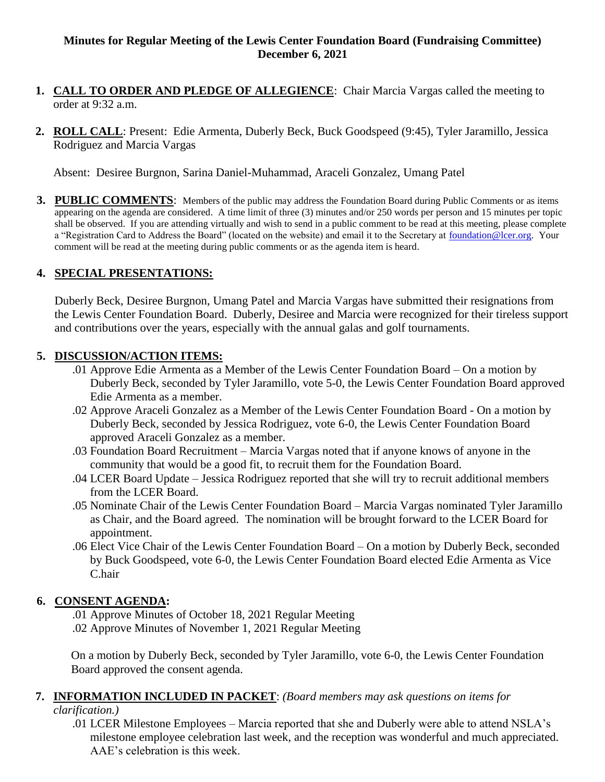## **Minutes for Regular Meeting of the Lewis Center Foundation Board (Fundraising Committee) December 6, 2021**

- **1. CALL TO ORDER AND PLEDGE OF ALLEGIENCE**: Chair Marcia Vargas called the meeting to order at 9:32 a.m.
- **2. ROLL CALL**: Present: Edie Armenta, Duberly Beck, Buck Goodspeed (9:45), Tyler Jaramillo, Jessica Rodriguez and Marcia Vargas

Absent: Desiree Burgnon, Sarina Daniel-Muhammad, Araceli Gonzalez, Umang Patel

**3. PUBLIC COMMENTS**: Members of the public may address the Foundation Board during Public Comments or as items appearing on the agenda are considered. A time limit of three (3) minutes and/or 250 words per person and 15 minutes per topic shall be observed. If you are attending virtually and wish to send in a public comment to be read at this meeting, please complete a "Registration Card to Address the Board" (located on the website) and email it to the Secretary at [foundation@lcer.org.](mailto:foundation@lcer.org) Your comment will be read at the meeting during public comments or as the agenda item is heard.

### **4. SPECIAL PRESENTATIONS:**

Duberly Beck, Desiree Burgnon, Umang Patel and Marcia Vargas have submitted their resignations from the Lewis Center Foundation Board. Duberly, Desiree and Marcia were recognized for their tireless support and contributions over the years, especially with the annual galas and golf tournaments.

#### **5. DISCUSSION/ACTION ITEMS:**

- .01 Approve Edie Armenta as a Member of the Lewis Center Foundation Board On a motion by Duberly Beck, seconded by Tyler Jaramillo, vote 5-0, the Lewis Center Foundation Board approved Edie Armenta as a member.
- .02 Approve Araceli Gonzalez as a Member of the Lewis Center Foundation Board On a motion by Duberly Beck, seconded by Jessica Rodriguez, vote 6-0, the Lewis Center Foundation Board approved Araceli Gonzalez as a member.
- .03 Foundation Board Recruitment Marcia Vargas noted that if anyone knows of anyone in the community that would be a good fit, to recruit them for the Foundation Board.
- .04 LCER Board Update Jessica Rodriguez reported that she will try to recruit additional members from the LCER Board.
- .05 Nominate Chair of the Lewis Center Foundation Board Marcia Vargas nominated Tyler Jaramillo as Chair, and the Board agreed. The nomination will be brought forward to the LCER Board for appointment.
- .06 Elect Vice Chair of the Lewis Center Foundation Board On a motion by Duberly Beck, seconded by Buck Goodspeed, vote 6-0, the Lewis Center Foundation Board elected Edie Armenta as Vice C.hair

#### **6. CONSENT AGENDA:**

.01 Approve Minutes of October 18, 2021 Regular Meeting .02 Approve Minutes of November 1, 2021 Regular Meeting

On a motion by Duberly Beck, seconded by Tyler Jaramillo, vote 6-0, the Lewis Center Foundation Board approved the consent agenda.

#### **7. INFORMATION INCLUDED IN PACKET**: *(Board members may ask questions on items for clarification.)*

.01 LCER Milestone Employees – Marcia reported that she and Duberly were able to attend NSLA's milestone employee celebration last week, and the reception was wonderful and much appreciated. AAE's celebration is this week.